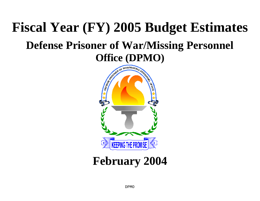# **Fiscal Year (FY) 2005 Budget Estimates Defense Prisoner of War/Missing Personnel Office (DPMO)**



## **February 2004**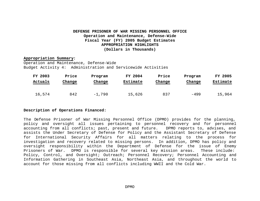#### **DEFENSE PRISONER OF WAR MISSING PERSONNEL OFFICE Operation and Maintenance, Defense-Wide Fiscal Year (FY) 2005 Budget Estimates APPROPRIATION HIGHLIGHTS (Dollars in Thousands)**

#### **Appropriation Summary:**

Operation and Maintenance, Defense-Wide Budget Activity 4: Administration and Servicewide Activities

| FY 2003 | Price  | Program  | FY 2004  | Price  | Program | FY 2005  |
|---------|--------|----------|----------|--------|---------|----------|
| Actuals | Change | Change   | Estimate | Change | Change  | Estimate |
|         |        |          |          |        |         |          |
| 16,574  | 842    | $-1,790$ | 15,626   | 837    | -499    | 15,964   |

#### **Description of Operations Financed:**

The Defense Prisoner of War Missing Personnel Office (DPMO) provides for the planning, policy and oversight all issues pertaining to personnel recovery and for personnel accounting from all conflicts; past, present and future. DPMO reports to, advises, and assists the Under Secretary of Defense for Policy and the Assistant Secretary of Defense for International Security Affairs for all matters relating to the process for investigation and recovery related to missing persons. In addition, DPMO has policy and oversight responsibility within the Department of Defense for the issue of Enemy Prisoners of War. DPMO is responsible for several key mission areas. These include: Policy, Control, and Oversight; Outreach; Personnel Recovery; Personnel Accounting and Information Gathering in Southeast Asia, Northeast Asia, and throughout the world to account for those missing from all conflicts including WWII and the Cold War.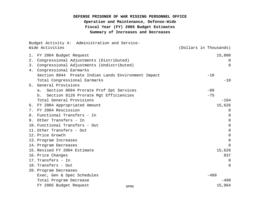## **DEFENSE PRISONER OF WAR MISSING PERSONNEL OFFICE Operation and Maintenance, Defense-Wide Fiscal Year (FY) 2005 Budget Estimates Summary of Increases and Decreases**

|    | Budget Activity 4: Administration and Service-<br>Wide Activities | (Dollars in Thousands) |
|----|-------------------------------------------------------------------|------------------------|
|    | 1. FY 2004 Budget Request                                         | 15,800                 |
| 2. | Congressional Adjustments (Distributed)                           | $\Omega$               |
|    | 3. Congressional Adjustments (Undistributed)                      | $\overline{0}$         |
| 4. | Congressional Earmarks                                            |                        |
|    | Section 8044 Proate Indian Lands Environment Impact               | $-10$                  |
|    | Total Congressional Earmarks                                      | $-10$                  |
|    | 5. General Provisions                                             |                        |
|    | Section 8094 Prorate Prof Spt Services<br>a.                      | $-89$                  |
|    | Section 8126 Prorate Mgt Efficiencies<br>b.                       | $-75$                  |
|    | Total General Provisions                                          | $-164$                 |
|    | 6. FY 2004 Appropriated Amount                                    | 15,626                 |
|    | 7. FY 2004 Rescission                                             | 0                      |
|    | 8. Functional Transfers - In                                      | 0                      |
|    | 9. Other Transfers - In                                           | 0                      |
|    | 10. Functional Transfers - Out                                    | $\Omega$               |
|    | 11. Other Transfers - Out                                         | $\Omega$               |
|    | 12. Price Growth                                                  | $\mathbf 0$            |
|    | 13. Program Increases                                             | $\Omega$               |
|    | 14. Program Decreases                                             | $\Omega$               |
|    | 15. Revised FY 2004 Estimate                                      | 15,626                 |
|    | 16. Price Changes                                                 | 837                    |
|    | 17. Transfers - In                                                | 0                      |
|    | 18. Transfers - Out                                               | $\Omega$               |
|    | 20. Program Decreases                                             |                        |
|    | Exec, Gen & Spec Schedules                                        | $-499$                 |
|    | Total Program Decrease                                            | -499                   |
|    | FY 2005 Budget Request<br><b>DPMO</b>                             | 15,964                 |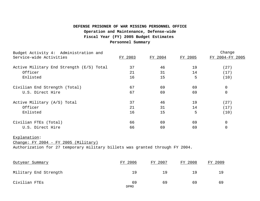## **Operation and Maintenance, Defense-wide DEFENSE PRISONER OF WAR MISSING PERSONNEL OFFICE Fiscal Year (FY) 2005 Budget Estimates Personnel Summary**

| Budget Activity 4: Administration and                                                                                                  |         |         |         | Change          |
|----------------------------------------------------------------------------------------------------------------------------------------|---------|---------|---------|-----------------|
| Service-wide Activities                                                                                                                | FY 2003 | FY 2004 | FY 2005 | FY 2004-FY 2005 |
| Active Military End Strength (E/S) Total                                                                                               | 37      | 46      | 19      | (27)            |
| Officer                                                                                                                                | 21      | 31      | 14      | (17)            |
| Enlisted                                                                                                                               | 16      | 15      | 5       | (10)            |
| Civilian End Strength (Total)                                                                                                          | 67      | 69      | 69      | 0               |
| U.S. Direct Hire                                                                                                                       | 67      | 69      | 69      | $\mathbf 0$     |
| Active Military (A/S) Total                                                                                                            | 37      | 46      | 19      | (27)            |
| Officer                                                                                                                                | 21      | 31      | 14      | (17)            |
| Enlisted                                                                                                                               | 16      | 15      | 5       | (10)            |
| Civilian FTEs (Total)                                                                                                                  | 66      | 69      | 69      | $\mathbf 0$     |
| U.S. Direct Hire                                                                                                                       | 66      | 69      | 69      | $\overline{0}$  |
| Explanation:<br>$Change: FY 2004 - FY 2005 (Military)$<br>Authorization for 27 temporary military billets was granted through FY 2004. |         |         |         |                 |
| Outyear Summary                                                                                                                        | FY 2006 | FY 2007 | FY 2008 | FY 2009         |
|                                                                                                                                        |         |         |         |                 |

| Military End Strength |    |    | 1 Q |
|-----------------------|----|----|-----|
| Civilian FTEs         | 69 | 69 |     |

DPMO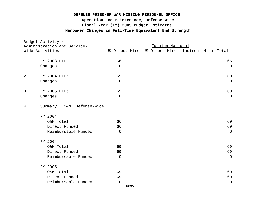## **Manpower Changes in Full-Time Equivalent End Strength DEFENSE PRISONER WAR MISSING PERSONNEL OFFICE Operation and Maintenance, Defense-Wide Fiscal Year (FY) 2005 Budget Estimates**

| Budget Activity 4:<br>Administration and Service-<br>Wide Activities |                            | Foreign National |                               |                     |  |  |  |  |
|----------------------------------------------------------------------|----------------------------|------------------|-------------------------------|---------------------|--|--|--|--|
|                                                                      |                            |                  | US Direct Hire US Direct Hire | Indirect Hire Total |  |  |  |  |
| $1$ .                                                                | <b>FY 2003 FTES</b>        | 66               |                               | 66                  |  |  |  |  |
|                                                                      | Changes                    | $\overline{0}$   |                               | $\mathbf 0$         |  |  |  |  |
| 2.                                                                   | FY 2004 FTES               | 69               |                               | 69                  |  |  |  |  |
|                                                                      | Changes                    | 0                |                               | $\overline{0}$      |  |  |  |  |
| 3.                                                                   | <b>FY 2005 FTES</b>        | 69               |                               | 69                  |  |  |  |  |
|                                                                      | Changes                    | 0                |                               | $\mathbf 0$         |  |  |  |  |
| $4$ .                                                                | Summary: O&M, Defense-Wide |                  |                               |                     |  |  |  |  |
|                                                                      | FY 2004                    |                  |                               |                     |  |  |  |  |
|                                                                      | O&M Total                  | 66               |                               | 69                  |  |  |  |  |
|                                                                      | Direct Funded              | 66               |                               | 69                  |  |  |  |  |
|                                                                      | Reimbursable Funded        | 0                |                               | $\overline{0}$      |  |  |  |  |
|                                                                      | FY 2004                    |                  |                               |                     |  |  |  |  |
|                                                                      | O&M Total                  | 69               |                               | 69                  |  |  |  |  |
|                                                                      | Direct Funded              | 69               |                               | 69                  |  |  |  |  |
|                                                                      | Reimbursable Funded        | 0                |                               | $\overline{0}$      |  |  |  |  |
|                                                                      | FY 2005                    |                  |                               |                     |  |  |  |  |
|                                                                      | O&M Total                  | 69               |                               | 69                  |  |  |  |  |
|                                                                      | Direct Funded              | 69               |                               | 69                  |  |  |  |  |
|                                                                      | Reimbursable Funded        | $\mathbf 0$      |                               | $\mathbf 0$         |  |  |  |  |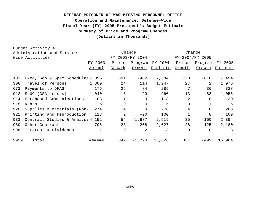## **DEFENSE PRISONER OF WAR MISSING PERSONNEL OFFICE Operation and Maintenance, Defense-Wide Fiscal Year (FY) 2005 President's Budget Estimate Summary of Price and Program Changes (Dollars in Thousands)**

|      | Budget Activity 4:               |               |                |                 |                 |                |                 |          |
|------|----------------------------------|---------------|----------------|-----------------|-----------------|----------------|-----------------|----------|
|      | Administration and Service-      |               |                | Change          |                 |                | Change          |          |
|      | Wide Activities                  |               |                | FY 2003/FY 2004 |                 |                | FY 2004/FY 2005 |          |
|      |                                  | FY 2003       | Price          | Program         | FY 2004         | Price          | Program         | FY 2005  |
|      |                                  | <u>Actual</u> | Growth         | <u>Growth</u>   | <u>Estimate</u> | Growth         | Growth          | Estimate |
| 101  | Exec, Gen & Spec Schedules 7,095 |               | 691            | $-402$          | 7,384           | 720            | $-610$          | 7,494    |
| 308  | Travel of Persons                | 1,809         | 24             | 114             | 1,947           | 27             | 2               | 1,976    |
| 673  | Payments to DFAS                 | 176           | 25             | 84              | 285             | 7              | 36              | 328      |
| 912  | SLUC (GSA Leases)                | 1,040         | 18             | $-99$           | 960             | 13             | 83              | 1,056    |
| 914  | Purchased Communications         | 108           |                | 9               | 118             | $\overline{2}$ | 10              | 130      |
| 915  | Rents                            | 5             | $\Omega$       | $\Omega$        | 5               | $\mathbf{0}$   | $\mathbf{1}$    | 6        |
| 920  | Supplies & Materials (Non-       | 274           | $\overline{4}$ | $\Omega$        | 278             | $\overline{4}$ | 6               | 288      |
| 921  | Printing and Reproduction        | 118           | 2              | $-20$           | 100             | $\mathbf{1}$   | 8               | 109      |
| 933  | Contract Studies & Analysi 4,152 |               | 54             | $-1,687$        | 2,519           | 35             | $-160$          | 2,394    |
| 989  | Other Contracts                  | 1,796         | 23             | 208             | 2,027           | 28             | 125             | 2,180    |
| 998  | Interest & Dividends             |               | $\overline{0}$ | 2               | 3               | $\overline{0}$ | $\Omega$        | 3        |
| 9999 | Total                            | ######        | 842            | $-1,790$        | 15,626          | 837            | $-499$          | 15,964   |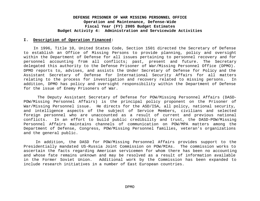#### **I. Description of Operation Financed:**

 In 1996, Title 10, United States Code, Section 1501 directed the Secretary of Defense to establish an Office of Missing Persons to provide planning, policy and oversight within the Department of Defense for all issues pertaining to personnel recovery and for personnel accounting from all conflicts; past, present and future. The Secretary delegated this authority to the Defense Prisoner of War/Missing Personnel Office (DPMO). DPMO reports to, advises, and assists the Under Secretary of Defense for Policy and the Assistant Secretary of Defense for International Security Affairs for all matters relating to the process for investigation and recovery related to missing persons. In addition, DPMO has policy and oversight responsibility within the Department of Defense for the issue of Enemy Prisoners of War.

 The Deputy Assistant Secretary of Defense for POW/Missing Personnel Affairs (DASD-POW/Missing Personnel Affairs) is the principal policy proponent on the Prisoner of War/Missing Personnel issue. He directs for the ASD/ISA, all policy, national security, and intelligence aspects of the subject of Service Members, civilians and selected foreign personnel who are unaccounted as a result of current and previous national conflicts. In an effort to build public credibility and trust, the DASD-POW/Missing Personnel Affairs maintains channels of communication on POW/MPA matters among the Department of Defense, Congress, POW/Missing Personnel families, veteran's organizations and the general public.

 In addition, the DASD for POW/Missing Personnel Affairs provides support to the Presidentially mandated US-Russia Joint Commission on POW/MIAs. The commission works to ascertain the facts regarding American servicemen for whom there has been no accounting and whose fate remains unknown and may be resolved as a result of information available in the Former Soviet Union. Additional work by the Commission has been expanded to include research initiatives in a number of East European countries.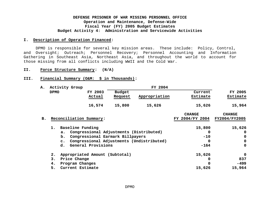#### **I. Description of Operation Financed:**

 DPMO is responsible for several key mission areas. These include: Policy, Control, and Oversight; Outreach; Personnel Recovery; Personnel Accounting and Information Gathering in Southeast Asia, Northeast Asia, and throughout the world to account for those missing from all conflicts including WWII and the Cold War.

#### **II. Force Structure Summary: (N/A)**

#### **III. Financial Summary (O&M: \$ in Thousands):**

| Α.            |             | Activity Group          |                                |                                  | FY 2004                                   |                 |               |
|---------------|-------------|-------------------------|--------------------------------|----------------------------------|-------------------------------------------|-----------------|---------------|
|               | <b>DPMO</b> |                         | FY 2003                        | <b>Budget</b>                    |                                           | Current         | FY 2005       |
|               |             |                         | Actual                         | Request                          | Appropriation                             | Estimate        | Estimate      |
|               |             |                         | 16,574                         | 15,800                           | 15,626                                    | 15,626          | 15,964        |
|               |             |                         |                                |                                  |                                           | <b>CHANGE</b>   | <b>CHANGE</b> |
| $B_{\bullet}$ |             | Reconciliation Summary: |                                |                                  |                                           | FY 2004/FY 2004 | FY2004/FY2005 |
|               | $1$ .       | Baseline Funding        |                                |                                  |                                           | 15,800          | 15,626        |
|               |             | a.                      |                                |                                  | Congressional Adjustments (Distributed)   | 0               | $\mathbf 0$   |
|               |             | b.                      |                                | Congressional Earmark Billpayers |                                           | $-10$           | $\mathbf 0$   |
|               |             | $\mathbf{c}$ .          |                                |                                  | Congressional Adjustments (Undistributed) | 0               | $\mathbf 0$   |
|               |             | d.                      | General Provisions             |                                  |                                           | $-164$          | 0             |
|               | 2.          |                         | Appropriated Amount (Subtotal) |                                  |                                           | 15,626          | 0             |
|               | з.          | Price Change            |                                |                                  |                                           | 0               | 837           |
|               | 4.          | Program Changes         |                                |                                  |                                           | 0               | -499          |
|               | 5.          | Current Estimate        |                                |                                  |                                           | 15,626          | 15,964        |
|               |             |                         |                                |                                  |                                           |                 |               |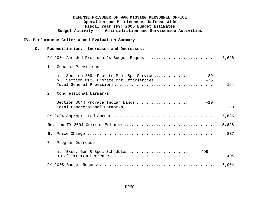#### **IV. Performance Criteria and Evaluation Summary:**

#### **C. Reconciliation: Increases and Decreases:**

|    | FY 2004 Amended President's Budget Request                                                                    | 15,626 |
|----|---------------------------------------------------------------------------------------------------------------|--------|
|    | 1. General Provisions                                                                                         |        |
|    | $-89$<br>Section 8094 Prorate Prof Spt Services<br>a.<br>Section 8126 Prorate Mgt Efficiencies<br>$-75$<br>b. | $-164$ |
| 2. | Congressional Earmarks                                                                                        |        |
|    | Section 8044 Prorate Indian Lands<br>$-10$                                                                    | $-10$  |
|    |                                                                                                               | 15,626 |
|    |                                                                                                               | 15,626 |
|    |                                                                                                               | 837    |
| 7. | Program Decrease                                                                                              |        |
|    | $-499$<br>a. Exec, Gen & Spec Schedules<br>Total Program Decrease                                             | $-499$ |
|    |                                                                                                               | 15,964 |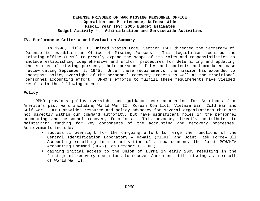#### **IV. Performance Criteria and Evaluation Summary:**

In 1996, Title 10, United States Code, Section 1501 directed the Secretary of Defense to establish an Office of Missing Persons. This legislation required the existing office (DPMO) to greatly expand the scope of its roles and responsibilities to include establishing comprehensive and uniform procedures for determining and updating the status of missing persons, their personnel files and contents and mandated case review dating September 2, 1945. Under these requirements, the mission has expanded to encompass policy oversight of the personnel recovery process as well as the traditional personnel accounting effort. DPMO's efforts to fulfill these requirements have yielded results in the following areas:

#### **Policy**

DPMO provides policy oversight and guidance over accounting for Americans from America's past wars including World War II, Korean Conflict, Vietnam War, Cold War and Gulf War. DPMO provides resource and policy advocacy for several organizations that are not directly within our command authority, but have significant roles in the personnel accounting and personnel recovery functions. This advocacy directly contributes to maintaining funding for key components of the accounting and recovery processes. Achievements include:

- successful oversight for the on-going effort to merge the functions of the Central Identification Laboratory – Hawaii (CILHI) and Joint Task Force—Full Accounting resulting in the activation of a new command, the Joint POW/MIA Accounting Command (JPAC), on October 1, 2003;
- gaining initial access to the Union of Burma in early 2003 resulting in the first joint recovery operations to recover Americans still missing as a result of World War II;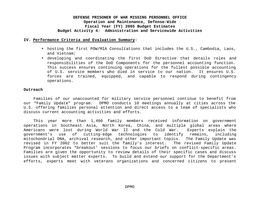#### **IV. Performance Criteria and Evaluation Summary:**

- hosting the first POW/MIA Consultations that includes the U.S., Cambodia, Laos, and Vietnam;
- developing and coordinating the first DoD Directive that details roles and responsibilities of the DoD Components for the personnel accounting function. This success ensures continuing operations for the fullest possible accounting of U.S. service members who died in service to our nation. It ensures U.S. forces are trained, equipped, and capable to respond during contingency operations.

#### **Outreach**

Families of our unaccounted for military service personnel continue to benefit from our "Family Update" program. DPMO conducts 10 meetings annually at cities across the U.S. offering families personal attention and direct access to a team of specialists who discuss current accounting activities and efforts.

This year more than 1,400 family members received information on government operations in Southeast Asia, North Korea, China, and multiple global areas where Americans were lost during World War II and the Cold War. Experts explain the government's use of cutting-edge technologies to identify remains, including mitochondrial DNA, archival research, and other important topics. The Family Update was revised in FY 2002 to better suit the family's interest. The revised Family Update Program incorporates "breakout' sessions to focus our briefs on conflict-specific areas. Families are given the opportunity to review details of their specific cases and discuss issues with subject matter experts. To build and extend our support for the Department's efforts, experts meet with veterans organizations and concerned citizens to present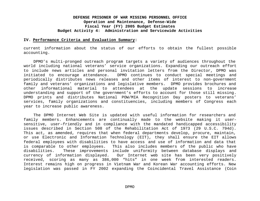#### **IV. Performance Criteria and Evaluation Summary:**

current information about the status of our efforts to obtain the fullest possible accounting.

DPMO's multi-pronged outreach program targets a variety of audiences throughout the world including national veterans' service organizations. Expanding our outreach effort to include news articles and personal invitation letters from the Director, DPMO was initiated to encourage attendance. DPMO continues to conduct special meetings and periodically distributes news releases and other items of interest to non-government family and veterans' organizations and legislative members. DPMO provides brochures and other informational material to attendees at the update sessions to increase understanding and support of the government's efforts to account for those still missing. DPMO prints and distributes National POW/MIA Recognition Day posters to veterans' services, family organizations and constituencies, including members of Congress each year to increase public awareness.

The DPMO Internet Web Site is updated with useful information for researchers and family members. Enhancements are continually made to the website making it usersensitive, user–friendly and in compliance with the mandated handicapped accessibility issues described in Section 508 of the Rehabilitation Act of 1973 (29 U.S.C. 794d). This act, as amended, requires that when federal departments develop, procure, maintain, or use Electronic and Information Technology (EIT), they shall ensure the EIT allows federal employees with disabilities to have access and use of information and data that is comparable to other employees. This also includes members of the public who have disabilities. These improvements include uniformity between database displays and currency of information displayed. Our Internet web site has been very positively received, scoring as many as 386,000 "hits" in one week from interested readers. Interest remains high on progress in Vietnam War and Korean War accounting efforts. New legislation was passed in FY 2002 expanding the Coincidental Travel Assistance (Coin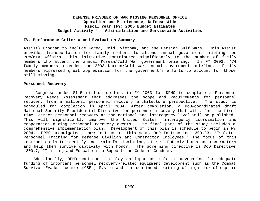#### **IV. Performance Criteria and Evaluation Summary:**

Assist) Program to include Korea, Cold, Vietnam, and the Persian Gulf wars. Coin Assist provides transportation for family members to attend annual government briefings on POW/MIA Affairs. This initiative contributed significantly to the number of family members who attend the annual Korean/Cold War government briefing. In FY 2003, 474 family members attended the 2003 Korean/Cold War annual government briefing. Family members expressed great appreciation for the government's efforts to account for those still missing.

#### **Personnel Recovery**

Congress added \$1.5 million dollars in FY 2003 for DPMO to complete a Personnel Recovery Needs Assessment that addresses the scope and requirements for personnel recovery from a national personnel recovery architecture perspective. The study is scheduled for completion in April 2004. After completion, a DoD-coordinated draft National Security Presidential Directive for personnel recovery that will, for the first time, direct personnel recovery at the national and interagency level will be published. This will significantly improve the United States' interagency coordination and cooperation during personnel recovery events. The final part of the study includes a comprehensive implementation plan. Development of this plan is schedule to begin in FY 2004. DPMO promulgated a new instruction this year, DoD Instruction 1300.23, "Isolated Personnel Training for Defense Civilian and Contractor Employees." The focus of this instruction is to identify and train for isolation, at-risk DoD civilians and contractors and help them survive captivity with honor. The governing directive is DoD Directive 1300.7, "Training and Education to Support the Code of Conduct.

Additionally, DPMO continues to play an important role in advocating for adequate funding of important personnel recovery-related equipment development such as the Combat Survivor Evader Locator (CSEL) System and for continued training of high-risk-of-capture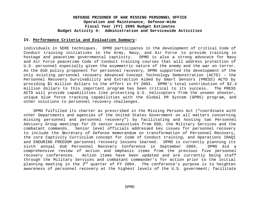#### **IV. Performance Criteria and Evaluation Summary:**

individuals in SERE techniques. DPMO participates in the development of critical Code of Conduct training initiatives in the Army, Navy, and Air Force to provide training in hostage and peacetime governmental captivity. DPMO is also a strong advocate for Navy and Air Force peacetime Code of Conduct training courses that will address protection of U.S. personnel especially given the asymmetric nature of the enemy and the war on terror. As the DoD policy proponent for personnel recovery, DPMO supported the development of the only existing personnel recovery Advanced Concept Technology Demonstration (ACTD) – the Personnel Recovery Survivability and Extraction Aided by Smart Sensors (PRESS) ACTD by providing \$1 million dollars to the effort in FY 2003. DPMO's total contribution of \$2.4 million dollars to this important program has been critical to its success. The PRESS ACTD will provide capabilities like protecting U.S. helicopters from the unseen shooter, unique blue force tracking capabilities with the Global PR System (GPRS) program, and other solutions to personnel recovery challenges.

DPMO fulfilled its charter as prescribed in the Missing Persons Act ("coordinate with other Departments and agencies of the United States Government on all matters concerning missing personnel and personnel recovery") by facilitating and hosting two Personnel Advisory Group meetings for 25 senior executives from OSD, the Military Services and the combatant commands. Senior level officials addressed key issues for personnel recovery to include the Secretary of Defense memorandum on transformation of Personnel Recovery, the core Captivity Curriculum concept for Code of Conduct training, and Operations IRAQI and ENDURING FREEDOM personnel recovery lessons learned. DPMO is currently planning its sixth annual DoD Personnel Recovery Conference in September 2004. DPMO did a comprehensive review of action and emphasis items from the previous five personnel recovery conferences. Action items have been updated and are currently being staff through the Military Services and combatant commander's for action prior to the initial planning meeting in the  $2^{nd}$  quarter of FY 2004. The conference's purpose is to heighten awareness of personnel recovery at the highest levels of the U.S. government; facilitate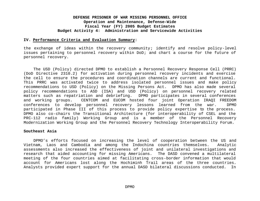#### **IV. Performance Criteria and Evaluation Summary:**

the exchange of ideas within the recovery community; identify and resolve policy-level issues pertaining to personnel recovery within DoD; and chart a course for the future of personnel recovery.

The USD (Policy) directed DPMO to establish a Personnel Recovery Response Cell (PRRC) (DoD Directive 2310.2) for activation during personnel recovery incidents and exercise the cell to ensure the procedures and coordination channels are current and functional. This PRRC was activated twice to address isolated personnel issues and make policy recommendations to USD (Policy) on the Missing Persons Act. DPMO has also made several policy recommendations to ASD (ISA) and USD (Policy) on personnel recovery related matters such as repatriation and debriefing. DPMO participates in several conferences and working groups. CENTCOM and EUCOM hosted four joint Operation IRAQI FREEDOM conferences to develop personnel recovery lessons learned from the war. DPMO participated in Phase III of this process to provide policy expertise to the process. DPMO also co-chairs the Transitional Architecture (for interoperability of CSEL and the PRC-112 radio family) Working Group and is a member of the Personnel Recovery Modernization Working Group and the Personnel Recovery Technology Interoperability Forum.

#### **Southeast Asia**

DPMO's efforts focused on increasing the level of cooperation between the US and Vietnam, Laos and Cambodia and among the Indochina countries themselves. Analytic assessments also increased the effectiveness of joint and unilateral investigations and research that aided accounting for missing Americans. The DASD convened a multilateral meeting of the four countries aimed at facilitating cross-border information that would account for Americans lost along the Hochiminh Trail areas of the three countries. Analysts provided expert support for the annual DASD bilateral discussions conducted. In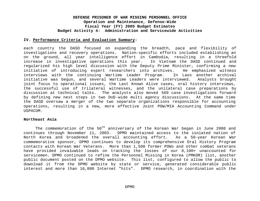#### **IV. Performance Criteria and Evaluation Summary:**

each country the DASD focused on expanding the breadth, pace and flexibility of investigations and recovery operations. Nation-specific efforts included establishing an on the ground, all year intelligence effort in Cambodia, resulting in a threefold increase in investigative operations this year. In Vietnam the DASD continued and regularized his high level discussion with the Deputy Prime Minister, confirming a new initiative of introducing expert researchers into archives. He emphasized witness interviews with the continuing Wartime Leader Program. In Laos another archival initiative was begun, and several Wartime Leaders were interviewed. Analysts brought joint focus to operational issues, the Last Known Alive cases, oral history interviews, the successful use of trilateral witnesses, and the unilateral case preparations by discussion at technical talks. The analysts also moved 569 case investigations forward by defining new next steps in two DoD-wide multi agency discussions. At the same time the DASD oversaw a merger of the two separate organizations responsible for accounting operations, resulting in a new, more effective Joint POW/MIA Accounting Command under USPACOM.

#### **Northeast Asia**

The commemoration of the  $50<sup>th</sup>$  anniversary of the Korean War began in June 2000 and continues through November 11, 2003. DPMO maintained access to the isolated nation of North Korea and broadened the overall accounting effort. As a 50-year Korean War commemorative sponsor, DPMO continues to develop its comprehensive Oral History Program contacts with Korean War Veterans. More than 1,500 former POWs and other combat veterans have provided invaluable leads on tracking the losses of our 8,100+ unaccounted for servicemen. DPMO continued to refine the Personnel Missing in Korea (PMKOR) list, another public document posted on the DPMO website. This list, configured to allow the public to download it from the DPMO website by state or service, generated considerable public interest and more than 16,000 Internet "hits". DPMO research, in coordination with the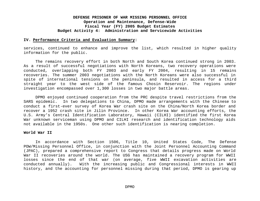#### **IV. Performance Criteria and Evaluation Summary:**

services, continued to enhance and improve the list, which resulted in higher quality information for the public.

The remains recovery effort in both North and South Korea continued strong in 2003. As a result of successful negotiations with North Koreans, two recovery operations were conducted, overlapping both FY 2003 and early FY 2004, resulting in 15 remains recoveries. The summer 2003 negotiations with the North Koreans were also successful in spite of international tensions on the peninsula, and resulted in access for a third straight year to the west side of the famous Chosin Reservoir. The regions under investigation encompassed over 1,300 losses in two major battle areas.

DPMO enjoyed continued cooperation from the PRC despite travel restrictions from the SARS epidemic. In two delegations to China, DPMO made arrangements with the Chinese to conduct a first-ever survey of Korea War crash site on the China/North Korea border and recover a 1952 crash site in Jilin Province. In other Korea War accounting efforts, the U.S. Army's Central Identification Laboratory, Hawaii (CILHI) identified the first Korea War unknown serviceman using DPMO and CILHI research and identification technology aids not available in the 1950s. One other such identification is nearing completion.

#### **World War II**

In accordance with Section 1506, Title 10, United States Code, The Defense POW/Missing Personnel Office, in conjunction with the Joint Personnel Accounting Command (JPAC), prepared a comprehensive report to Congress that details progress made on World War II recoveries around the world. The USG has maintained a recovery program for WWII losses since the end of that war (on average, five WWII excavation activities are conducted annually). With the increasing public and Congressional interests in WWII history, and the accounting for personnel missing during that period, DPMO is gearing up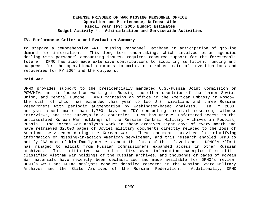#### **IV. Performance Criteria and Evaluation Summary:**

to prepare a comprehensive WWII Missing Personnel Database in anticipation of growing demand for information. This long term undertaking, which involved other agencies dealing with personnel accounting issues, requires resource support for the foreseeable future. DPMO has also made extensive contributions to acquiring sufficient funding and manpower for the operational commands to maintain a robust rate of investigations and recoveries for FY 2004 and the outyears.

#### **Cold War**

DPMO provides support to the presidentially mandated U.S.-Russia Joint Commission on POW/MIAs and is focused on working in Russia, the other countries of the former Soviet Union, and Central Europe. DPMO maintains an office in the American Embassy in Moscow, the staff of which has expanded this year to two U.S. civilians and three Russian researchers with periodic augmentation by Washington-based analysts. In FY 2003, analysts spent more than 1,700 days on TDY conducting archival research, witness interviews, and site surveys in 22 countries. DPMO has unique, unfettered access to the unclassified Korean War holdings of the Russian Central Military Archives in Podolsk, Russia. The Korean War analysts work in these archives eight days of every month and have retrieved 32,000 pages of Soviet military documents directly related to the loss of American servicemen during the Korean War. These documents provided fate-clarifying information on missing-in-action American servicemen, and this research enabled DPMO to notify 263 next-of-kin family members about the fates of their loved ones. DPMO's effort has managed to elicit from Russian commissioners expanded access in other Russian archives. This initiative has led to first-ever information excerpted from stillclassified Vietnam War holdings of the Russian archives, and thousands of pages of Korean War materials have recently been declassified and made available for DPMO's review. DPMO's WWII and GULag analysts conduct detailed research in the Russian State Military Archives and the State Archives of the Russian Federation. Additionally, DPMO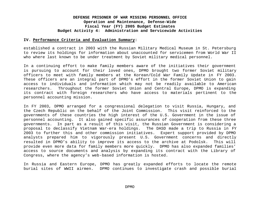#### **IV. Performance Criteria and Evaluation Summary:**

established a contract in 2003 with the Russian Military Medical Museum in St. Petersburg to review its holdings for information about unaccounted for servicemen from World War II who where last known to be under treatment by Soviet military medical personnel.

In a continuing effort to make family members aware of the initiatives their government is pursuing to account for their loved ones, DPMO brought two former Soviet military officers to meet with family members at the Korean/Cold War Family Update in FY 2003. These officers are an integral part of DPMO's effort in the former Soviet Union to gain access to individuals and information which may not be readily available to American researchers. Throughout the former Soviet Union and Central Europe, DPMO is expanding its contract with foreign researchers who have access to materials pertinent to the personnel accounting mission.

In FY 2003, DPMO arranged for a congressional delegation to visit Russia, Hungary, and the Czech Republic on the behalf of the Joint Commission. This visit reinforced to the governments of these countries the high interest of the U.S. Government in the issue of personnel accounting. It also gained specific assurances of cooperation from these three governments. In part as a result of this visit, the Russian Government is considering a proposal to declassify Vietnam War-era holdings. The DASD made a trip to Russia in FY 2003 to further this and other commission initiatives. Expert support provided by DPMO analysts prepared him to vigorously present U.S. Government concerns and directly resulted in DPMO's ability to improve its access to the archive at Podolsk. This will provide even more data for family members more quickly. DPMO has also expanded families' access to source documents and analysis by expanding its contract with the Library of Congress, where the agency's web-based information is hosted.

In Russia and Eastern Europe, DPMO has greatly expanded efforts to locate the remote burial sites of WWII airmen. DPMO continues to investigate crash and possible burial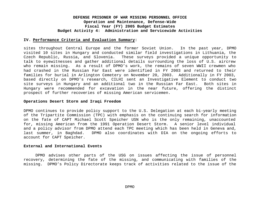#### **IV. Performance Criteria and Evaluation Summary:**

sites throughout Central Europe and the former Soviet Union. In the past year, DPMO visited 10 sites in Hungary and conducted similar field investigations in Lithuania, the Czech Republic, Russia, and Slovenia. These surveys provided a unique opportunity to talk to eyewitnesses and gather additional details surrounding the loss of U.S. aircrew who remain missing. As a result of DPMO's work, the remains of seven WWII crewmen who had crashed in the Russian Far East were identified in FY 2003 and returned to their families for burial in Arlington Cemetery on November 20, 2003. Additionally in FY 2003, based directly on DPMO's research, CILHI sent an Investigative Element to conduct two site surveys in Hungary and an additional two in the Russian Far East. Both sites in Hungary were recommended for excavation in the near future, offering the distinct prospect of further recoveries of missing American servicemen.

#### **Operations Desert Storm and Iraqi Freedom**

DPMO continues to provide policy support to the U.S. Delegation at each bi-yearly meeting of the Tripartite Commission (TPC) with emphasis on the continuing search for information on the fate of CAPT Michael Scott Speicher USN who is the only remaining, unaccounted for, missing American from the 1991 Operation Desert Storm. A senior level individual and a policy advisor from DPMO attend each TPC meeting which has been held in Geneva and, last summer, in Baghdad. DPMO also coordinates with DIA on the ongoing efforts to account for CAPT Speicher.

#### **External and International Events**

DPMO advises other parts of the USG on issues affecting the issue of personnel recovery, determining the fate of the missing, and communicating with families of the missing. DPMO's Policy Directorate keeps track of activities related to the issue of the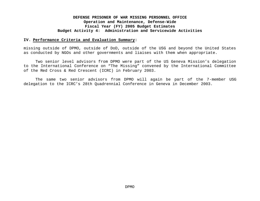#### **IV. Performance Criteria and Evaluation Summary:**

missing outside of DPMO, outside of DoD, outside of the USG and beyond the United States as conducted by NGOs and other governments and liaises with them when appropriate.

Two senior level advisors from DPMO were part of the US Geneva Mission's delegation to the International Conference on "The Missing" convened by the International Committee of the Red Cross & Red Crescent (ICRC) in February 2003.

The same two senior advisors from DPMO will again be part of the 7-member USG delegation to the ICRC's 28th Quadrennial Conference in Geneva in December 2003.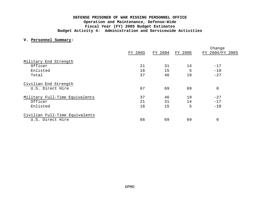#### **V. Personnel Summary:**

|                                |         |         |         | Change          |
|--------------------------------|---------|---------|---------|-----------------|
|                                | FY 2003 | FY 2004 | FY 2005 | FY 2004/FY 2005 |
| Military End Strength          |         |         |         |                 |
| Officer                        | 21      | 31      | 14      | $-17$           |
| Enlisted                       | 16      | 15      | 5       | $-10$           |
| Total                          | 37      | 46      | 19      | $-27$           |
| Civilian End Strength          |         |         |         |                 |
| U.S. Direct Hire               | 67      | 69      | 69      | $\mathbf 0$     |
| Military Full-Time Equivalents | 37      | 46      | 19      | $-27$           |
| Officer                        | 21      | 31      | 14      | $-17$           |
| Enlisted                       | 16      | 15      | 5       | $-10$           |
| Civilian Full-Time Equivalents |         |         |         |                 |
| U.S. Direct Hire               | 66      | 69      | 69      | $\mathbf 0$     |